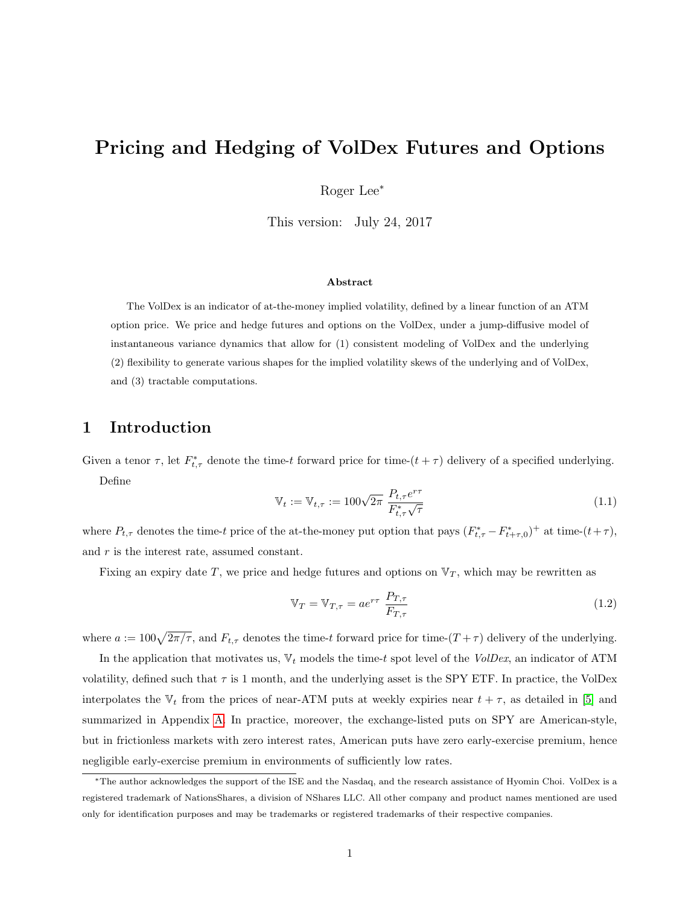# Pricing and Hedging of VolDex Futures and Options

Roger Lee<sup>∗</sup>

This version: July 24, 2017

#### Abstract

The VolDex is an indicator of at-the-money implied volatility, defined by a linear function of an ATM option price. We price and hedge futures and options on the VolDex, under a jump-diffusive model of instantaneous variance dynamics that allow for (1) consistent modeling of VolDex and the underlying (2) flexibility to generate various shapes for the implied volatility skews of the underlying and of VolDex, and (3) tractable computations.

## 1 Introduction

Given a tenor  $\tau$ , let  $F_{t,\tau}^*$  denote the time-t forward price for time- $(t + \tau)$  delivery of a specified underlying. Define

$$
\mathbb{V}_{t} := \mathbb{V}_{t,\tau} := 100\sqrt{2\pi} \frac{P_{t,\tau}e^{r\tau}}{F_{t,\tau}^{*}\sqrt{\tau}}
$$
(1.1)

where  $P_{t,\tau}$  denotes the time-t price of the at-the-money put option that pays  $(F_{t,\tau}^* - F_{t+\tau,0}^*)^+$  at time- $(t+\tau)$ , and  $r$  is the interest rate, assumed constant.

Fixing an expiry date T, we price and hedge futures and options on  $\mathbb{V}_T$ , which may be rewritten as

$$
\mathbb{V}_T = \mathbb{V}_{T,\tau} = a e^{r\tau} \frac{P_{T,\tau}}{F_{T,\tau}}
$$
\n(1.2)

where  $a := 100\sqrt{2\pi/\tau}$ , and  $F_{t,\tau}$  denotes the time-t forward price for time- $(T + \tau)$  delivery of the underlying.

In the application that motivates us,  $V_t$  models the time-t spot level of the VolDex, an indicator of ATM volatility, defined such that  $\tau$  is 1 month, and the underlying asset is the SPY ETF. In practice, the VolDex interpolates the  $V_t$  from the prices of near-ATM puts at weekly expiries near  $t + \tau$ , as detailed in [\[5\]](#page-8-0) and summarized in Appendix [A.](#page-7-0) In practice, moreover, the exchange-listed puts on SPY are American-style, but in frictionless markets with zero interest rates, American puts have zero early-exercise premium, hence negligible early-exercise premium in environments of sufficiently low rates.

<sup>∗</sup>The author acknowledges the support of the ISE and the Nasdaq, and the research assistance of Hyomin Choi. VolDex is a registered trademark of NationsShares, a division of NShares LLC. All other company and product names mentioned are used only for identification purposes and may be trademarks or registered trademarks of their respective companies.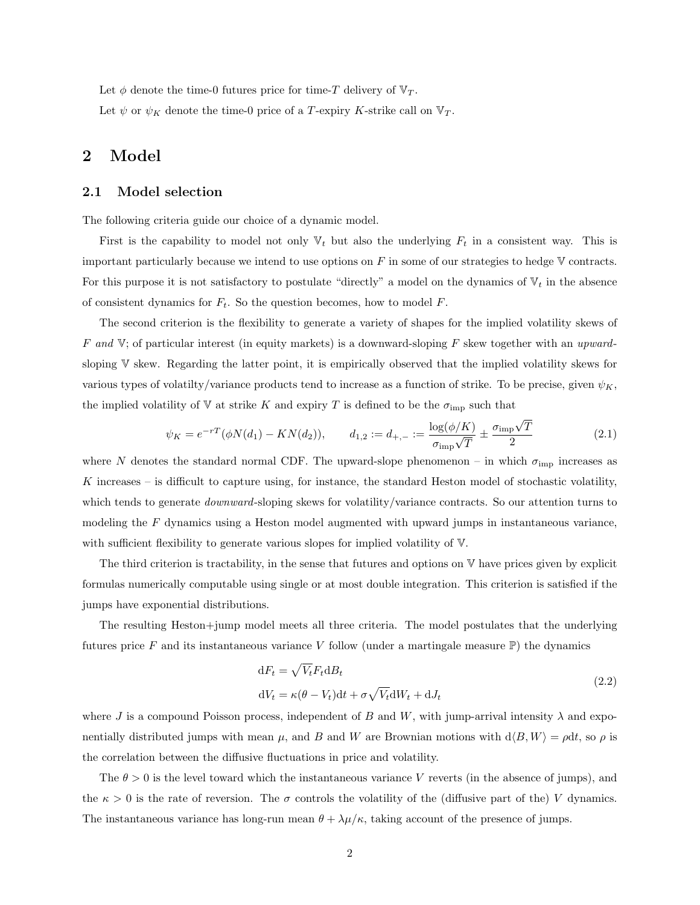Let  $\phi$  denote the time-0 futures price for time-T delivery of  $\mathbb{V}_T$ .

Let  $\psi$  or  $\psi_K$  denote the time-0 price of a T-expiry K-strike call on  $\mathbb{V}_T$ .

## 2 Model

### 2.1 Model selection

The following criteria guide our choice of a dynamic model.

First is the capability to model not only  $\mathbb{V}_t$  but also the underlying  $F_t$  in a consistent way. This is important particularly because we intend to use options on  $F$  in some of our strategies to hedge  $V$  contracts. For this purpose it is not satisfactory to postulate "directly" a model on the dynamics of  $V_t$  in the absence of consistent dynamics for  $F_t$ . So the question becomes, how to model  $F$ .

The second criterion is the flexibility to generate a variety of shapes for the implied volatility skews of F and  $V$ ; of particular interest (in equity markets) is a downward-sloping F skew together with an upwardsloping V skew. Regarding the latter point, it is empirically observed that the implied volatility skews for various types of volatilty/variance products tend to increase as a function of strike. To be precise, given  $\psi_K$ , the implied volatility of V at strike K and expiry T is defined to be the  $\sigma_{\text{imp}}$  such that

$$
\psi_K = e^{-rT} (\phi N(d_1) - KN(d_2)), \qquad d_{1,2} := d_{+,-} := \frac{\log(\phi/K)}{\sigma_{\text{imp}}\sqrt{T}} \pm \frac{\sigma_{\text{imp}}\sqrt{T}}{2}
$$
(2.1)

where N denotes the standard normal CDF. The upward-slope phenomenon – in which  $\sigma_{\text{imp}}$  increases as K increases – is difficult to capture using, for instance, the standard Heston model of stochastic volatility, which tends to generate *downward*-sloping skews for volatility/variance contracts. So our attention turns to modeling the  $F$  dynamics using a Heston model augmented with upward jumps in instantaneous variance. with sufficient flexibility to generate various slopes for implied volatility of V.

The third criterion is tractability, in the sense that futures and options on V have prices given by explicit formulas numerically computable using single or at most double integration. This criterion is satisfied if the jumps have exponential distributions.

The resulting Heston+jump model meets all three criteria. The model postulates that the underlying futures price F and its instantaneous variance V follow (under a martingale measure  $\mathbb{P}$ ) the dynamics

$$
dF_t = \sqrt{V_t} F_t dB_t
$$
  
\n
$$
dV_t = \kappa(\theta - V_t) dt + \sigma \sqrt{V_t} dW_t + dJ_t
$$
\n(2.2)

where J is a compound Poisson process, independent of B and W, with jump-arrival intensity  $\lambda$  and exponentially distributed jumps with mean  $\mu$ , and B and W are Brownian motions with  $d\langle B, W \rangle = \rho dt$ , so  $\rho$  is the correlation between the diffusive fluctuations in price and volatility.

The  $\theta > 0$  is the level toward which the instantaneous variance V reverts (in the absence of jumps), and the  $\kappa > 0$  is the rate of reversion. The  $\sigma$  controls the volatility of the (diffusive part of the) V dynamics. The instantaneous variance has long-run mean  $\theta + \lambda \mu/\kappa$ , taking account of the presence of jumps.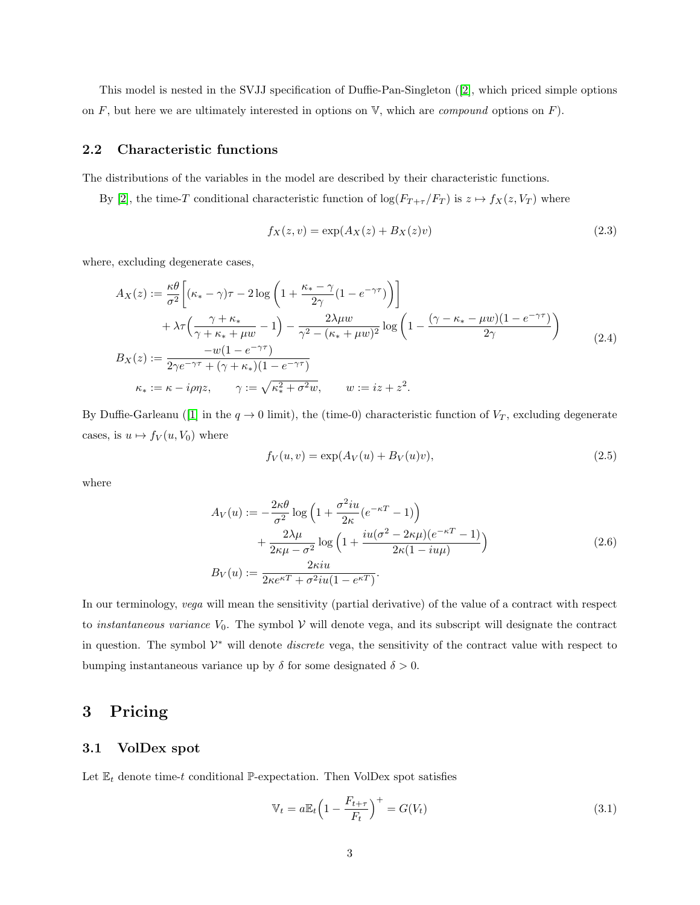This model is nested in the SVJJ specification of Duffie-Pan-Singleton ([\[2\]](#page-8-1), which priced simple options on F, but here we are ultimately interested in options on  $\mathbb{V}$ , which are *compound* options on F).

### 2.2 Characteristic functions

The distributions of the variables in the model are described by their characteristic functions.

By [\[2\]](#page-8-1), the time-T conditional characteristic function of  $\log(F_{T+\tau}/F_T)$  is  $z \mapsto f_X(z, V_T)$  where

$$
f_X(z, v) = \exp(A_X(z) + B_X(z)v)
$$
\n(2.3)

where, excluding degenerate cases,

$$
A_X(z) := \frac{\kappa \theta}{\sigma^2} \left[ (\kappa_* - \gamma)\tau - 2\log\left(1 + \frac{\kappa_* - \gamma}{2\gamma} (1 - e^{-\gamma \tau})\right) \right]
$$
  
+  $\lambda \tau \left( \frac{\gamma + \kappa_*}{\gamma + \kappa_* + \mu w} - 1 \right) - \frac{2\lambda \mu w}{\gamma^2 - (\kappa_* + \mu w)^2} \log\left(1 - \frac{(\gamma - \kappa_* - \mu w)(1 - e^{-\gamma \tau})}{2\gamma}\right)$   

$$
B_X(z) := \frac{-w(1 - e^{-\gamma \tau})}{2\gamma e^{-\gamma \tau} + (\gamma + \kappa_*)(1 - e^{-\gamma \tau})}
$$
  

$$
\kappa_* := \kappa - i\rho \eta z, \qquad \gamma := \sqrt{\kappa_*^2 + \sigma^2 w}, \qquad w := iz + z^2.
$$
 (2.4)

By Duffie-Garleanu ([\[1\]](#page-8-2) in the  $q \to 0$  limit), the (time-0) characteristic function of  $V_T$ , excluding degenerate cases, is  $u \mapsto f_V(u, V_0)$  where

$$
f_V(u, v) = \exp(A_V(u) + B_V(u)v),
$$
\n(2.5)

where

$$
A_V(u) := -\frac{2\kappa\theta}{\sigma^2} \log\left(1 + \frac{\sigma^2 iu}{2\kappa} (e^{-\kappa T} - 1)\right)
$$
  
+ 
$$
\frac{2\lambda\mu}{2\kappa\mu - \sigma^2} \log\left(1 + \frac{iu(\sigma^2 - 2\kappa\mu)(e^{-\kappa T} - 1)}{2\kappa(1 - iu\mu)}\right)
$$
  

$$
B_V(u) := \frac{2\kappa iu}{2\kappa e^{\kappa T} + \sigma^2 iu(1 - e^{\kappa T})}.
$$
 (2.6)

In our terminology, vega will mean the sensitivity (partial derivative) of the value of a contract with respect to *instantaneous variance*  $V_0$ . The symbol  $V$  will denote vega, and its subscript will designate the contract in question. The symbol  $\mathcal{V}^*$  will denote *discrete* vega, the sensitivity of the contract value with respect to bumping instantaneous variance up by  $\delta$  for some designated  $\delta > 0$ .

# 3 Pricing

### 3.1 VolDex spot

Let  $\mathbb{E}_t$  denote time-t conditional P-expectation. Then VolDex spot satisfies

$$
\mathbb{V}_t = a \mathbb{E}_t \left( 1 - \frac{F_{t+\tau}}{F_t} \right)^+ = G(V_t) \tag{3.1}
$$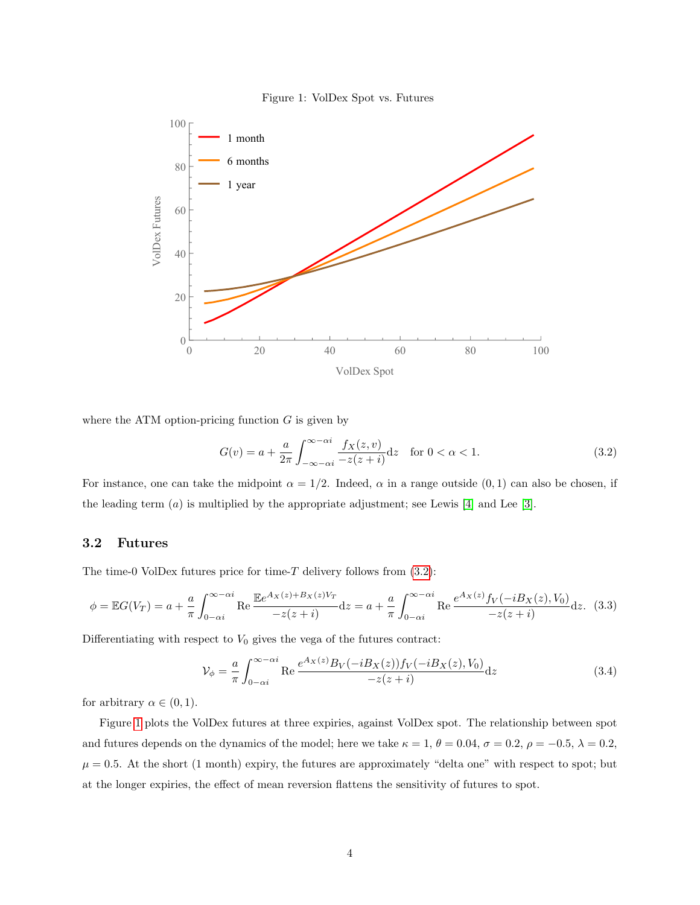<span id="page-3-1"></span>



where the ATM option-pricing function  $G$  is given by

<span id="page-3-0"></span>
$$
G(v) = a + \frac{a}{2\pi} \int_{-\infty - \alpha i}^{\infty - \alpha i} \frac{f_X(z, v)}{-z(z + i)} dz \quad \text{for } 0 < \alpha < 1.
$$
 (3.2)

For instance, one can take the midpoint  $\alpha = 1/2$ . Indeed,  $\alpha$  in a range outside  $(0, 1)$  can also be chosen, if the leading term  $(a)$  is multiplied by the appropriate adjustment; see Lewis [\[4\]](#page-8-3) and Lee [\[3\]](#page-8-4).

### 3.2 Futures

The time-0 VolDex futures price for time-T delivery follows from  $(3.2)$ :

$$
\phi = \mathbb{E}G(V_T) = a + \frac{a}{\pi} \int_{0-\alpha i}^{\infty - \alpha i} \text{Re} \frac{\mathbb{E}e^{A_X(z) + B_X(z)V_T}}{-z(z+i)} dz = a + \frac{a}{\pi} \int_{0-\alpha i}^{\infty - \alpha i} \text{Re} \frac{e^{A_X(z)} f_V(-iB_X(z), V_0)}{-z(z+i)} dz. \tag{3.3}
$$

Differentiating with respect to  $V_0$  gives the vega of the futures contract:

$$
\mathcal{V}_{\phi} = \frac{a}{\pi} \int_{0-\alpha i}^{\infty - \alpha i} \text{Re} \, \frac{e^{A_X(z)} B_V(-i B_X(z)) f_V(-i B_X(z), V_0)}{-z(z+i)} \, dz \tag{3.4}
$$

for arbitrary  $\alpha \in (0,1)$ .

Figure [1](#page-3-1) plots the VolDex futures at three expiries, against VolDex spot. The relationship between spot and futures depends on the dynamics of the model; here we take  $\kappa = 1, \theta = 0.04, \sigma = 0.2, \rho = -0.5, \lambda = 0.2,$  $\mu = 0.5$ . At the short (1 month) expiry, the futures are approximately "delta one" with respect to spot; but at the longer expiries, the effect of mean reversion flattens the sensitivity of futures to spot.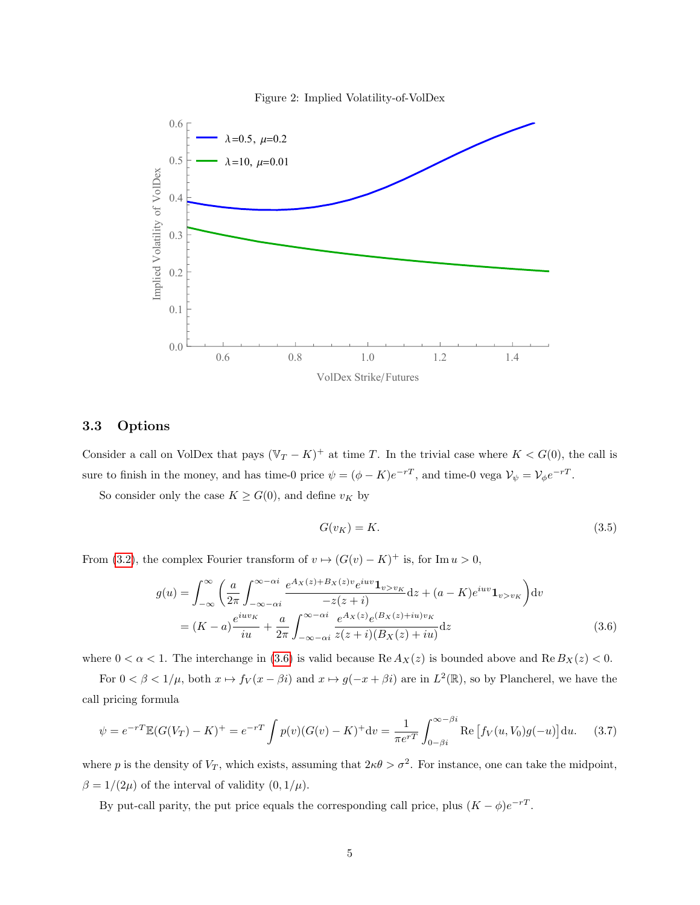<span id="page-4-1"></span>



### 3.3 Options

Consider a call on VolDex that pays  $(\mathbb{V}_T - K)^+$  at time T. In the trivial case where  $K < G(0)$ , the call is sure to finish in the money, and has time-0 price  $\psi = (\phi - K)e^{-rT}$ , and time-0 vega  $\mathcal{V}_{\psi} = \mathcal{V}_{\phi}e^{-rT}$ .

So consider only the case  $K \geq G(0)$ , and define  $v_K$  by

<span id="page-4-0"></span>
$$
G(v_K) = K.\t\t(3.5)
$$

From [\(3.2\)](#page-3-0), the complex Fourier transform of  $v \mapsto (G(v) - K)^+$  is, for Im  $u > 0$ ,

$$
g(u) = \int_{-\infty}^{\infty} \left( \frac{a}{2\pi} \int_{-\infty - \alpha i}^{\infty - \alpha i} \frac{e^{Ax(z) + B_X(z)v} e^{iuv} \mathbf{1}_{v > v_K}}{-z(z + i)} dz + (a - K) e^{iuv} \mathbf{1}_{v > v_K} \right) dv
$$
  
= 
$$
(K - a) \frac{e^{iuv_K}}{iu} + \frac{a}{2\pi} \int_{-\infty - \alpha i}^{\infty - \alpha i} \frac{e^{Ax(z)} e^{(B_X(z) + iu)v_K}}{z(z + i)(B_X(z) + iu)} dz
$$
(3.6)

where  $0 < \alpha < 1$ . The interchange in [\(3.6\)](#page-4-0) is valid because Re  $A_X(z)$  is bounded above and Re  $B_X(z) < 0$ .

For  $0 < \beta < 1/\mu$ , both  $x \mapsto f_V(x - \beta i)$  and  $x \mapsto g(-x + \beta i)$  are in  $L^2(\mathbb{R})$ , so by Plancherel, we have the call pricing formula

$$
\psi = e^{-rT} \mathbb{E}(G(V_T) - K)^+ = e^{-rT} \int p(v) (G(v) - K)^+ \mathrm{d}v = \frac{1}{\pi e^{rT}} \int_{0-\beta i}^{\infty - \beta i} \text{Re} \left[ f_V(u, V_0) g(-u) \right] \mathrm{d}u. \tag{3.7}
$$

where p is the density of  $V_T$ , which exists, assuming that  $2\kappa\theta > \sigma^2$ . For instance, one can take the midpoint,  $\beta = 1/(2\mu)$  of the interval of validity  $(0, 1/\mu)$ .

By put-call parity, the put price equals the corresponding call price, plus  $(K - \phi)e^{-rT}$ .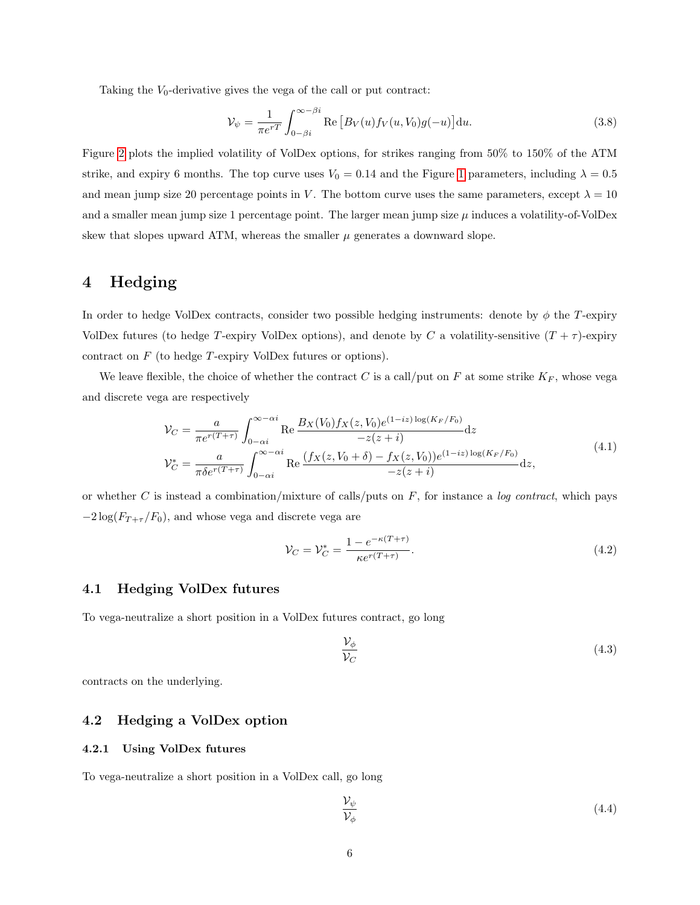Taking the  $V_0$ -derivative gives the vega of the call or put contract:

$$
\mathcal{V}_{\psi} = \frac{1}{\pi e^{rT}} \int_{0-\beta i}^{\infty-\beta i} \text{Re}\left[B_V(u)f_V(u,V_0)g(-u)\right] \mathrm{d}u. \tag{3.8}
$$

Figure [2](#page-4-1) plots the implied volatility of VolDex options, for strikes ranging from 50% to 150% of the ATM strike, and expiry 6 months. The top curve uses  $V_0 = 0.14$  and the Figure [1](#page-3-1) parameters, including  $\lambda = 0.5$ and mean jump size 20 percentage points in V. The bottom curve uses the same parameters, except  $\lambda = 10$ and a smaller mean jump size 1 percentage point. The larger mean jump size  $\mu$  induces a volatility-of-VolDex skew that slopes upward ATM, whereas the smaller  $\mu$  generates a downward slope.

# 4 Hedging

In order to hedge VolDex contracts, consider two possible hedging instruments: denote by  $\phi$  the T-expiry VolDex futures (to hedge T-expiry VolDex options), and denote by C a volatility-sensitive  $(T + \tau)$ -expiry contract on F (to hedge T-expiry VolDex futures or options).

We leave flexible, the choice of whether the contract C is a call/put on F at some strike  $K_F$ , whose vega and discrete vega are respectively

$$
\mathcal{V}_C = \frac{a}{\pi e^{r(T+\tau)}} \int_{0-\alpha i}^{\infty - \alpha i} \text{Re} \frac{B_X(V_0) f_X(z, V_0) e^{(1-iz) \log(K_F/F_0)}}{-z(z+i)} dz
$$
  

$$
\mathcal{V}_C^* = \frac{a}{\pi \delta e^{r(T+\tau)}} \int_{0-\alpha i}^{\infty - \alpha i} \text{Re} \frac{(f_X(z, V_0 + \delta) - f_X(z, V_0)) e^{(1-iz) \log(K_F/F_0)}}{-z(z+i)} dz,
$$
(4.1)

or whether C is instead a combination/mixture of calls/puts on  $F$ , for instance a *log contract*, which pays  $-2 \log(F_{T+\tau}/F_0)$ , and whose vega and discrete vega are

$$
\mathcal{V}_C = \mathcal{V}_C^* = \frac{1 - e^{-\kappa(T+\tau)}}{\kappa e^{r(T+\tau)}}.
$$
\n(4.2)

### 4.1 Hedging VolDex futures

To vega-neutralize a short position in a VolDex futures contract, go long

$$
\frac{\mathcal{V}_{\phi}}{\mathcal{V}_{C}}\tag{4.3}
$$

contracts on the underlying.

#### 4.2 Hedging a VolDex option

#### 4.2.1 Using VolDex futures

To vega-neutralize a short position in a VolDex call, go long

<span id="page-5-0"></span>
$$
\frac{\mathcal{V}_{\psi}}{\mathcal{V}_{\phi}}\tag{4.4}
$$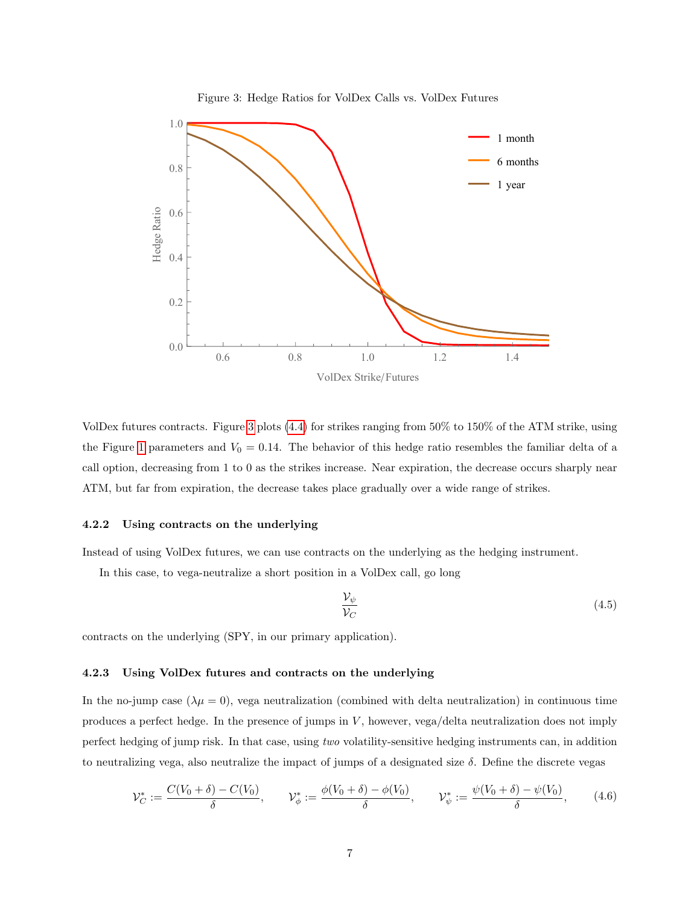<span id="page-6-0"></span>

VolDex futures contracts. Figure [3](#page-6-0) plots [\(4.4\)](#page-5-0) for strikes ranging from 50% to 150% of the ATM strike, using the Figure [1](#page-3-1) parameters and  $V_0 = 0.14$ . The behavior of this hedge ratio resembles the familiar delta of a call option, decreasing from 1 to 0 as the strikes increase. Near expiration, the decrease occurs sharply near ATM, but far from expiration, the decrease takes place gradually over a wide range of strikes.

#### 4.2.2 Using contracts on the underlying

Instead of using VolDex futures, we can use contracts on the underlying as the hedging instrument.

In this case, to vega-neutralize a short position in a VolDex call, go long

$$
\frac{\mathcal{V}_{\psi}}{\mathcal{V}_C} \tag{4.5}
$$

contracts on the underlying (SPY, in our primary application).

#### 4.2.3 Using VolDex futures and contracts on the underlying

In the no-jump case  $(\lambda \mu = 0)$ , vega neutralization (combined with delta neutralization) in continuous time produces a perfect hedge. In the presence of jumps in V , however, vega/delta neutralization does not imply perfect hedging of jump risk. In that case, using two volatility-sensitive hedging instruments can, in addition to neutralizing vega, also neutralize the impact of jumps of a designated size  $\delta$ . Define the discrete vegas

$$
\mathcal{V}_{C}^{*} := \frac{C(V_{0} + \delta) - C(V_{0})}{\delta}, \qquad \mathcal{V}_{\phi}^{*} := \frac{\phi(V_{0} + \delta) - \phi(V_{0})}{\delta}, \qquad \mathcal{V}_{\psi}^{*} := \frac{\psi(V_{0} + \delta) - \psi(V_{0})}{\delta}, \tag{4.6}
$$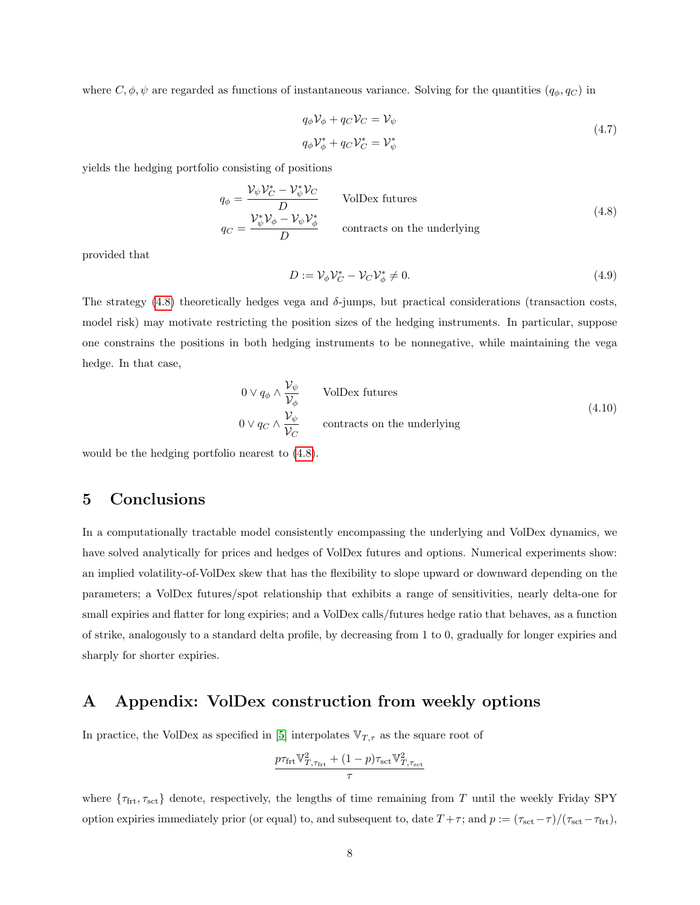where  $C, \phi, \psi$  are regarded as functions of instantaneous variance. Solving for the quantities  $(q_{\phi}, q_{C})$  in

$$
q_{\phi} \mathcal{V}_{\phi} + q_{C} \mathcal{V}_{C} = \mathcal{V}_{\psi}
$$
  
\n
$$
q_{\phi} \mathcal{V}_{\phi}^{*} + q_{C} \mathcal{V}_{C}^{*} = \mathcal{V}_{\psi}^{*}
$$
\n(4.7)

<span id="page-7-1"></span>yields the hedging portfolio consisting of positions

$$
q_{\phi} = \frac{\mathcal{V}_{\psi}\mathcal{V}_{C}^{*} - \mathcal{V}_{\psi}^{*}\mathcal{V}_{C}}{D}
$$
 VolDev futures  

$$
q_{C} = \frac{\mathcal{V}_{\psi}^{*}\mathcal{V}_{\phi} - \mathcal{V}_{\psi}\mathcal{V}_{\phi}^{*}}{D}
$$
 contracts on the underlying

provided that

$$
D := \mathcal{V}_{\phi} \mathcal{V}_C^* - \mathcal{V}_C \mathcal{V}_{\phi}^* \neq 0. \tag{4.9}
$$

The strategy  $(4.8)$  theoretically hedges vega and  $\delta$ -jumps, but practical considerations (transaction costs, model risk) may motivate restricting the position sizes of the hedging instruments. In particular, suppose one constrains the positions in both hedging instruments to be nonnegative, while maintaining the vega hedge. In that case,

$$
0 \vee q_{\phi} \wedge \frac{\mathcal{V}_{\psi}}{\mathcal{V}_{\phi}}
$$
 VolDex futures  
 
$$
0 \vee q_{C} \wedge \frac{\mathcal{V}_{\psi}}{\mathcal{V}_{C}}
$$
 contracts on the underlying

would be the hedging portfolio nearest to [\(4.8\)](#page-7-1).

## 5 Conclusions

In a computationally tractable model consistently encompassing the underlying and VolDex dynamics, we have solved analytically for prices and hedges of VolDex futures and options. Numerical experiments show: an implied volatility-of-VolDex skew that has the flexibility to slope upward or downward depending on the parameters; a VolDex futures/spot relationship that exhibits a range of sensitivities, nearly delta-one for small expiries and flatter for long expiries; and a VolDex calls/futures hedge ratio that behaves, as a function of strike, analogously to a standard delta profile, by decreasing from 1 to 0, gradually for longer expiries and sharply for shorter expiries.

## <span id="page-7-0"></span>A Appendix: VolDex construction from weekly options

In practice, the VolDex as specified in [\[5\]](#page-8-0) interpolates  $V_{T,\tau}$  as the square root of

$$
\frac{p\tau_\mathrm{frt}\mathbb{V}^2_{T,\tau_\mathrm{frt}}+(1-p)\tau_\mathrm{sct}\mathbb{V}^2_{T,\tau_\mathrm{sct}}}{\tau}
$$

where  $\{\tau_{\text{frt}}\}, \tau_{\text{sct}}\}$  denote, respectively, the lengths of time remaining from T until the weekly Friday SPY option expiries immediately prior (or equal) to, and subsequent to, date  $T + \tau$ ; and  $p := (\tau_{\text{sct}} - \tau) / (\tau_{\text{sct}} - \tau_{\text{frt}})$ ,